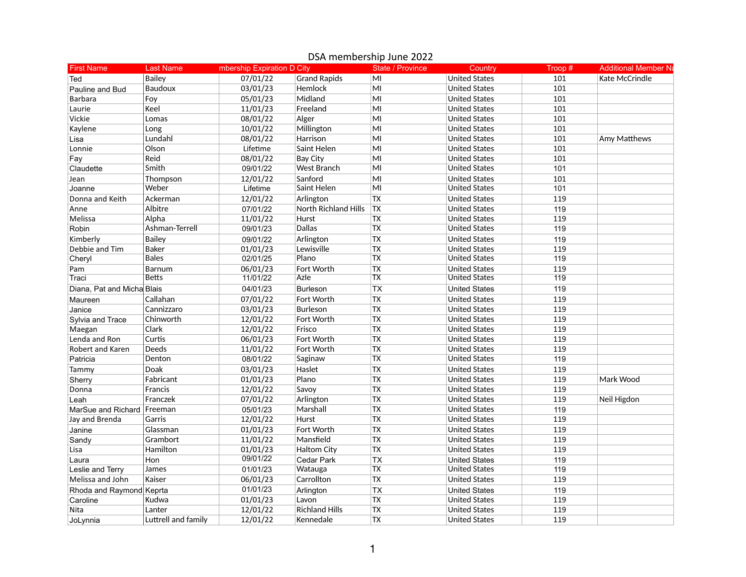| <b>First Name</b>            | <b>Last Name</b>    | mbership Expiration D City |                       | <b>State / Province</b>  | Country              | Troop # | <b>Additional Member Na</b> |
|------------------------------|---------------------|----------------------------|-----------------------|--------------------------|----------------------|---------|-----------------------------|
| Ted                          | Bailey              | 07/01/22                   | <b>Grand Rapids</b>   | MI                       | <b>United States</b> | 101     | Kate McCrindle              |
| Pauline and Bud              | <b>Baudoux</b>      | 03/01/23                   | Hemlock               | MI                       | <b>United States</b> | 101     |                             |
| <b>Barbara</b>               | Foy                 | 05/01/23                   | Midland               | MI                       | <b>United States</b> | 101     |                             |
| Laurie                       | Keel                | 11/01/23                   | Freeland              | MI                       | <b>United States</b> | 101     |                             |
| Vickie                       | Lomas               | 08/01/22                   | Alger                 | MI                       | <b>United States</b> | 101     |                             |
| Kaylene                      | Long                | 10/01/22                   | Millington            | MI                       | <b>United States</b> | 101     |                             |
| Lisa                         | Lundahl             | 08/01/22                   | Harrison              | MI                       | <b>United States</b> | 101     | Amy Matthews                |
| Lonnie                       | Olson               | Lifetime                   | Saint Helen           | MI                       | <b>United States</b> | 101     |                             |
| Fay                          | Reid                | 08/01/22                   | <b>Bay City</b>       | MI                       | <b>United States</b> | 101     |                             |
| Claudette                    | Smith               | 09/01/22                   | <b>West Branch</b>    | MI                       | <b>United States</b> | 101     |                             |
| Jean                         | Thompson            | 12/01/22                   | Sanford               | MI                       | <b>United States</b> | 101     |                             |
| Joanne                       | Weber               | Lifetime                   | Saint Helen           | MI                       | <b>United States</b> | 101     |                             |
| Donna and Keith              | Ackerman            | 12/01/22                   | Arlington             | <b>TX</b>                | <b>United States</b> | 119     |                             |
| Anne                         | Albitre             | 07/01/22                   | North Richland Hills  | <b>TX</b>                | <b>United States</b> | 119     |                             |
| Melissa                      | Alpha               | 11/01/22                   | Hurst                 | <b>TX</b>                | <b>United States</b> | 119     |                             |
| Robin                        | Ashman-Terrell      | 09/01/23                   | Dallas                | <b>TX</b>                | <b>United States</b> | 119     |                             |
| Kimberly                     | <b>Bailey</b>       | 09/01/22                   | Arlington             | <b>TX</b>                | <b>United States</b> | 119     |                             |
| Debbie and Tim               | <b>Baker</b>        | 01/01/23                   | Lewisville            | <b>TX</b>                | <b>United States</b> | 119     |                             |
| Cheryl                       | <b>Bales</b>        | 02/01/25                   | Plano                 | <b>TX</b>                | <b>United States</b> | 119     |                             |
| Pam                          | <b>Barnum</b>       | 06/01/23                   | Fort Worth            | <b>TX</b>                | <b>United States</b> | 119     |                             |
| Traci                        | <b>Betts</b>        | 11/01/22                   | Azle                  | ТX                       | <b>United States</b> | 119     |                             |
| Diana, Pat and Micha Blais   |                     | 04/01/23                   | <b>Burleson</b>       | $\overline{\mathsf{TX}}$ | <b>United States</b> | 119     |                             |
| Maureen                      | Callahan            | 07/01/22                   | Fort Worth            | <b>TX</b>                | <b>United States</b> | 119     |                             |
| Janice                       | Cannizzaro          | 03/01/23                   | <b>Burleson</b>       | <b>TX</b>                | <b>United States</b> | 119     |                             |
| Sylvia and Trace             | Chinworth           | 12/01/22                   | Fort Worth            | <b>TX</b>                | <b>United States</b> | 119     |                             |
| Maegan                       | Clark               | 12/01/22                   | Frisco                | <b>TX</b>                | <b>United States</b> | 119     |                             |
| Lenda and Ron                | Curtis              | 06/01/23                   | Fort Worth            | $\overline{TX}$          | <b>United States</b> | 119     |                             |
| Robert and Karen             | Deeds               | 11/01/22                   | Fort Worth            | <b>TX</b>                | <b>United States</b> | 119     |                             |
| Patricia                     | Denton              | 08/01/22                   | Saginaw               | <b>TX</b>                | <b>United States</b> | 119     |                             |
| Tammy                        | Doak                | 03/01/23                   | Haslet                | <b>TX</b>                | <b>United States</b> | 119     |                             |
| Sherry                       | Fabricant           | 01/01/23                   | Plano                 | <b>TX</b>                | <b>United States</b> | 119     | Mark Wood                   |
| Donna                        | Francis             | 12/01/22                   | Savoy                 | <b>TX</b>                | <b>United States</b> | 119     |                             |
| Leah                         | Franczek            | 07/01/22                   | Arlington             | $\overline{TX}$          | <b>United States</b> | 119     | Neil Higdon                 |
| MarSue and Richard   Freeman |                     | 05/01/23                   | Marshall              | <b>TX</b>                | <b>United States</b> | 119     |                             |
| Jay and Brenda               | Garris              | 12/01/22                   | Hurst                 | <b>TX</b>                | <b>United States</b> | 119     |                             |
| Janine                       | Glassman            | 01/01/23                   | Fort Worth            | <b>TX</b>                | <b>United States</b> | 119     |                             |
| Sandy                        | Grambort            | 11/01/22                   | Mansfield             | <b>TX</b>                | <b>United States</b> | 119     |                             |
| Lisa                         | Hamilton            | 01/01/23                   | <b>Haltom City</b>    | <b>TX</b>                | <b>United States</b> | 119     |                             |
| Laura                        | Hon                 | 09/01/22                   | <b>Cedar Park</b>     | <b>TX</b>                | <b>United States</b> | 119     |                             |
| Leslie and Terry             | James               | 01/01/23                   | Watauga               | ТX                       | <b>United States</b> | 119     |                             |
| Melissa and John             | Kaiser              | 06/01/23                   | Carrollton            | <b>TX</b>                | <b>United States</b> | 119     |                             |
| Rhoda and Raymond Keprta     |                     | 01/01/23                   |                       | <b>TX</b>                | <b>United States</b> | 119     |                             |
|                              | Kudwa               | 01/01/23                   | Arlington<br>Lavon    | <b>TX</b>                | <b>United States</b> | 119     |                             |
| Caroline<br>Nita             | Lanter              | 12/01/22                   | <b>Richland Hills</b> | <b>TX</b>                | <b>United States</b> | 119     |                             |
|                              |                     |                            |                       |                          | <b>United States</b> | 119     |                             |
| JoLynnia                     | Luttrell and family | 12/01/22                   | Kennedale             | <b>TX</b>                |                      |         |                             |

## DSA membership June 2022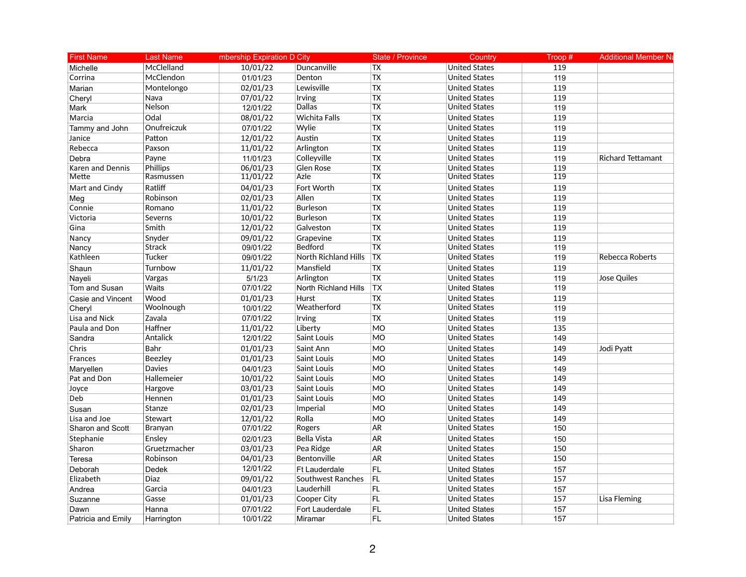| <b>First Name</b>  | <b>Last Name</b> | mbership Expiration D City |                      | <b>State / Province</b> | Country              | Troop $#$ | <b>Additional Member Na</b> |
|--------------------|------------------|----------------------------|----------------------|-------------------------|----------------------|-----------|-----------------------------|
| Michelle           | McClelland       | 10/01/22                   | Duncanville          | <b>TX</b>               | <b>United States</b> | 119       |                             |
| Corrina            | McClendon        | 01/01/23                   | Denton               | <b>TX</b>               | <b>United States</b> | 119       |                             |
| Marian             | Montelongo       | 02/01/23                   | Lewisville           | <b>TX</b>               | <b>United States</b> | 119       |                             |
| Cheryl             | Nava             | 07/01/22                   | Irving               | <b>TX</b>               | <b>United States</b> | 119       |                             |
| Mark               | Nelson           | 12/01/22                   | Dallas               | <b>TX</b>               | <b>United States</b> | 119       |                             |
| Marcia             | Odal             | 08/01/22                   | <b>Wichita Falls</b> | <b>TX</b>               | <b>United States</b> | 119       |                             |
| Tammy and John     | Onufreiczuk      | 07/01/22                   | Wylie                | <b>TX</b>               | <b>United States</b> | 119       |                             |
| Janice             | Patton           | 12/01/22                   | Austin               | <b>TX</b>               | <b>United States</b> | 119       |                             |
| Rebecca            | Paxson           | 11/01/22                   | Arlington            | <b>TX</b>               | <b>United States</b> | 119       |                             |
| Debra              | Payne            | 11/01/23                   | Colleyville          | <b>TX</b>               | <b>United States</b> | 119       | <b>Richard Tettamant</b>    |
| Karen and Dennis   | Phillips         | 06/01/23                   | Glen Rose            | <b>TX</b>               | <b>United States</b> | 119       |                             |
| Mette              | Rasmussen        | 11/01/22                   | Azle                 | <b>TX</b>               | <b>United States</b> | 119       |                             |
| Mart and Cindy     | Ratliff          | 04/01/23                   | Fort Worth           | <b>TX</b>               | <b>United States</b> | 119       |                             |
| Meg                | Robinson         | 02/01/23                   | Allen                | <b>TX</b>               | <b>United States</b> | 119       |                             |
| Connie             | Romano           | 11/01/22                   | <b>Burleson</b>      | <b>TX</b>               | <b>United States</b> | 119       |                             |
| Victoria           | Severns          | 10/01/22                   | Burleson             | <b>TX</b>               | <b>United States</b> | 119       |                             |
| Gina               | Smith            | 12/01/22                   | Galveston            | <b>TX</b>               | <b>United States</b> | 119       |                             |
| Nancy              | Snyder           | 09/01/22                   | Grapevine            | <b>TX</b>               | <b>United States</b> | 119       |                             |
| Nancy              | <b>Strack</b>    | 09/01/22                   | <b>Bedford</b>       | <b>TX</b>               | <b>United States</b> | 119       |                             |
| Kathleen           | Tucker           | 09/01/22                   | North Richland Hills | $\overline{TX}$         | <b>United States</b> | 119       | Rebecca Roberts             |
| Shaun              | Turnbow          | 11/01/22                   | Mansfield            | <b>TX</b>               | <b>United States</b> | 119       |                             |
| Nayeli             | Vargas           | 5/1/23                     | Arlington            | $\overline{TX}$         | <b>United States</b> | 119       | Jose Quiles                 |
| Tom and Susan      | Waits            | 07/01/22                   | North Richland Hills | <b>TX</b>               | <b>United States</b> | 119       |                             |
| Casie and Vincent  | Wood             | 01/01/23                   | Hurst                | TX                      | <b>United States</b> | 119       |                             |
| Cheryl             | Woolnough        | 10/01/22                   | Weatherford          | <b>TX</b>               | <b>United States</b> | 119       |                             |
| Lisa and Nick      | Zavala           | 07/01/22                   | Irving               | <b>TX</b>               | <b>United States</b> | 119       |                             |
| Paula and Don      | Haffner          | 11/01/22                   | Liberty              | <b>MO</b>               | <b>United States</b> | 135       |                             |
| Sandra             | Antalick         | 12/01/22                   | Saint Louis          | <b>MO</b>               | <b>United States</b> | 149       |                             |
| Chris              | Bahr             | 01/01/23                   | Saint Ann            | <b>MO</b>               | <b>United States</b> | 149       | Jodi Pyatt                  |
| Frances            | Beezley          | 01/01/23                   | Saint Louis          | <b>MO</b>               | <b>United States</b> | 149       |                             |
| Maryellen          | <b>Davies</b>    | 04/01/23                   | Saint Louis          | <b>MO</b>               | <b>United States</b> | 149       |                             |
| Pat and Don        | Hallemeier       | 10/01/22                   | Saint Louis          | <b>MO</b>               | <b>United States</b> | 149       |                             |
| Joyce              | Hargove          | 03/01/23                   | Saint Louis          | <b>MO</b>               | <b>United States</b> | 149       |                             |
| Deb                | Hennen           | 01/01/23                   | Saint Louis          | <b>MO</b>               | <b>United States</b> | 149       |                             |
| Susan              | Stanze           | 02/01/23                   | Imperial             | <b>MO</b>               | <b>United States</b> | 149       |                             |
| Lisa and Joe       | Stewart          | 12/01/22                   | Rolla                | <b>MO</b>               | <b>United States</b> | 149       |                             |
| Sharon and Scott   | Branyan          | 07/01/22                   | Rogers               | AR                      | <b>United States</b> | 150       |                             |
| Stephanie          | Ensley           | 02/01/23                   | <b>Bella Vista</b>   | AR                      | <b>United States</b> | 150       |                             |
| Sharon             | Gruetzmacher     | 03/01/23                   | Pea Ridge            | <b>AR</b>               | <b>United States</b> | 150       |                             |
| Teresa             | Robinson         | 04/01/23                   | Bentonville          | AR                      | <b>United States</b> | 150       |                             |
| Deborah            | Dedek            | 12/01/22                   | <b>Ft Lauderdale</b> | FL                      | <b>United States</b> | 157       |                             |
| Elizabeth          | <b>Diaz</b>      | 09/01/22                   | Southwest Ranches    | <b>FL</b>               | <b>United States</b> | 157       |                             |
| Andrea             | Garcia           | 04/01/23                   | Lauderhill           | FL                      | <b>United States</b> | 157       |                             |
| Suzanne            | Gasse            | 01/01/23                   | Cooper City          | FL                      | <b>United States</b> | 157       | Lisa Fleming                |
| Dawn               | Hanna            | 07/01/22                   | Fort Lauderdale      | <b>FL</b>               | <b>United States</b> | 157       |                             |
| Patricia and Emily | Harrington       | 10/01/22                   | Miramar              | FL.                     | <b>United States</b> | 157       |                             |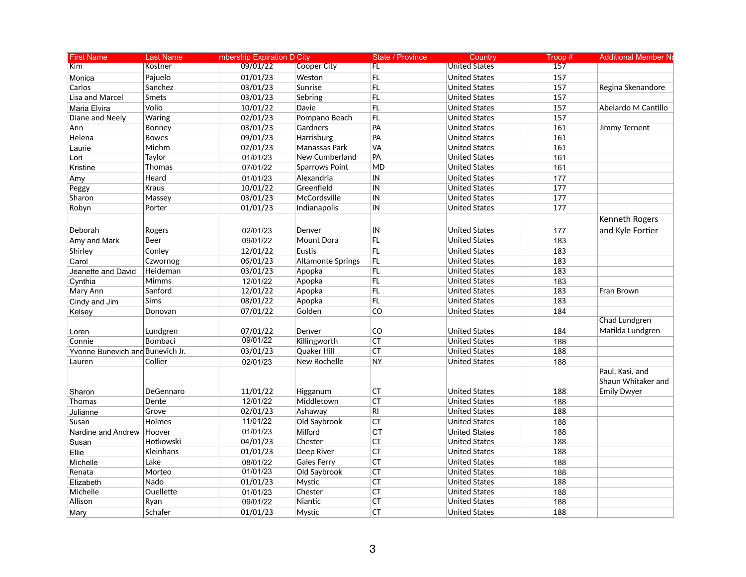| <b>First Name</b>                | <b>Last Name</b> | mbership Expiration D City |                          | <b>State / Province</b> | Country              | Troop# | <b>Additional Member Na</b>                                 |
|----------------------------------|------------------|----------------------------|--------------------------|-------------------------|----------------------|--------|-------------------------------------------------------------|
| Kim                              | Kostner          | 09/01/22                   | Cooper City              | FL.                     | <b>United States</b> | 157    |                                                             |
| Monica                           | Pajuelo          | 01/01/23                   | Weston                   | FL                      | <b>United States</b> | 157    |                                                             |
| Carlos                           | Sanchez          | 03/01/23                   | Sunrise                  | FL                      | <b>United States</b> | 157    | Regina Skenandore                                           |
| Lisa and Marcel                  | Smets            | 03/01/23                   | Sebring                  | FL                      | <b>United States</b> | 157    |                                                             |
| Maria Elvira                     | Volio            | 10/01/22                   | Davie                    | <b>FL</b>               | <b>United States</b> | 157    | Abelardo M Cantillo                                         |
| Diane and Neely                  | Waring           | 02/01/23                   | Pompano Beach            | FL                      | <b>United States</b> | 157    |                                                             |
| Ann                              | Bonney           | 03/01/23                   | Gardners                 | PA                      | <b>United States</b> | 161    | Jimmy Ternent                                               |
| Helena                           | <b>Bowes</b>     | 09/01/23                   | Harrisburg               | PA                      | <b>United States</b> | 161    |                                                             |
| Laurie                           | Miehm            | 02/01/23                   | Manassas Park            | VA                      | <b>United States</b> | 161    |                                                             |
| Lori                             | Taylor           | 01/01/23                   | New Cumberland           | PA                      | <b>United States</b> | 161    |                                                             |
| Kristine                         | Thomas           | 07/01/22                   | <b>Sparrows Point</b>    | MD                      | <b>United States</b> | 161    |                                                             |
| Amy                              | Heard            | 01/01/23                   | Alexandria               | IN                      | <b>United States</b> | 177    |                                                             |
| Peggy                            | Kraus            | 10/01/22                   | Greenfield               | IN                      | <b>United States</b> | 177    |                                                             |
| Sharon                           | Massey           | 03/01/23                   | McCordsville             | IN                      | <b>United States</b> | 177    |                                                             |
| Robyn                            | Porter           | 01/01/23                   | Indianapolis             | IN                      | <b>United States</b> | 177    |                                                             |
|                                  |                  |                            |                          |                         |                      |        | Kenneth Rogers                                              |
| Deborah                          | Rogers           | 02/01/23                   | Denver                   | IN                      | <b>United States</b> | 177    | and Kyle Fortier                                            |
| Amy and Mark                     | Beer             | 09/01/22                   | Mount Dora               | FL                      | <b>United States</b> | 183    |                                                             |
| Shirley                          | Conley           | 12/01/22                   | <b>Eustis</b>            | FL                      | <b>United States</b> | 183    |                                                             |
| Carol                            | Czwornog         | 06/01/23                   | <b>Altamonte Springs</b> | FL                      | <b>United States</b> | 183    |                                                             |
| Jeanette and David               | Heideman         | 03/01/23                   | Apopka                   | FL                      | <b>United States</b> | 183    |                                                             |
| Cynthia                          | <b>Mimms</b>     | 12/01/22                   | Apopka                   | FL                      | <b>United States</b> | 183    |                                                             |
| Mary Ann                         | Sanford          | 12/01/22                   | Apopka                   | FL                      | <b>United States</b> | 183    | Fran Brown                                                  |
| Cindy and Jim                    | Sims             | 08/01/22                   | Apopka                   | FL                      | <b>United States</b> | 183    |                                                             |
| Kelsey                           | Donovan          | 07/01/22                   | Golden                   | CO                      | <b>United States</b> | 184    |                                                             |
|                                  |                  |                            |                          |                         |                      |        | Chad Lundgren                                               |
| Loren                            | Lundgren         | 07/01/22                   | Denver                   | CO                      | <b>United States</b> | 184    | Matilda Lundgren                                            |
| Connie                           | Bombaci          | 09/01/22                   | Killingworth             | CT                      | <b>United States</b> | 188    |                                                             |
| Yvonne Bunevich and Bunevich Jr. |                  | 03/01/23                   | Quaker Hill              | CT                      | <b>United States</b> | 188    |                                                             |
| Lauren                           | Collier          | 02/01/23                   | New Rochelle             | <b>NY</b>               | <b>United States</b> | 188    |                                                             |
| Sharon                           | DeGennaro        | 11/01/22                   | Higganum                 | <b>CT</b>               | <b>United States</b> | 188    | Paul, Kasi, and<br>Shaun Whitaker and<br><b>Emily Dwyer</b> |
| Thomas                           | Dente            | 12/01/22                   | Middletown               | <b>CT</b>               | <b>United States</b> | 188    |                                                             |
| Julianne                         | Grove            | 02/01/23                   | Ashaway                  | R <sub>l</sub>          | <b>United States</b> | 188    |                                                             |
| Susan                            | Holmes           | 11/01/22                   | Old Saybrook             | <b>CT</b>               | <b>United States</b> | 188    |                                                             |
| Nardine and Andrew               | Hoover           | 01/01/23                   | Milford                  | <b>CT</b>               | <b>United States</b> | 188    |                                                             |
| Susan                            | Hotkowski        | 04/01/23                   | Chester                  | <b>CT</b>               | <b>United States</b> | 188    |                                                             |
| Ellie                            | Kleinhans        | 01/01/23                   | Deep River               | CT                      | <b>United States</b> | 188    |                                                             |
| Michelle                         | Lake             | 08/01/22                   | <b>Gales Ferry</b>       | CT                      | <b>United States</b> | 188    |                                                             |
| Renata                           | Morteo           | 01/01/23                   | Old Saybrook             | <b>CT</b>               | <b>United States</b> | 188    |                                                             |
| Elizabeth                        | Nado             | 01/01/23                   | Mystic                   | CT                      | <b>United States</b> | 188    |                                                             |
| Michelle                         | Ouellette        | 01/01/23                   | Chester                  | CT                      | <b>United States</b> | 188    |                                                             |
| Allison                          | Ryan             | 09/01/22                   | Niantic                  | <b>CT</b>               | <b>United States</b> | 188    |                                                             |
| Mary                             | Schafer          | 01/01/23                   | Mystic                   | <b>CT</b>               | <b>United States</b> | 188    |                                                             |
|                                  |                  |                            |                          |                         |                      |        |                                                             |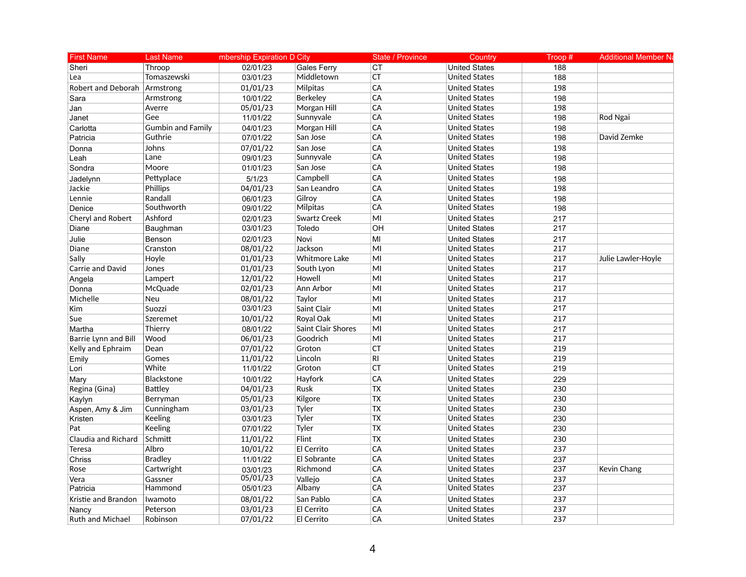| <b>First Name</b>       | <b>Last Name</b>         | mbership Expiration D City |                           | <b>State / Province</b>  | Country              | Troop $#$ | <b>Additional Member Na</b> |
|-------------------------|--------------------------|----------------------------|---------------------------|--------------------------|----------------------|-----------|-----------------------------|
| Sheri                   | Throop                   | 02/01/23                   | <b>Gales Ferry</b>        | <b>CT</b>                | <b>United States</b> | 188       |                             |
| Lea                     | Tomaszewski              | 03/01/23                   | Middletown                | CT                       | <b>United States</b> | 188       |                             |
| Robert and Deborah      | Armstrong                | 01/01/23                   | Milpitas                  | CA                       | <b>United States</b> | 198       |                             |
| Sara                    | Armstrong                | 10/01/22                   | Berkeley                  | CA                       | <b>United States</b> | 198       |                             |
| Jan                     | Averre                   | 05/01/23                   | Morgan Hill               | CA                       | <b>United States</b> | 198       |                             |
| Janet                   | Gee                      | 11/01/22                   | Sunnyvale                 | CA                       | <b>United States</b> | 198       | Rod Ngai                    |
| Carlotta                | <b>Gumbin and Family</b> | 04/01/23                   | Morgan Hill               | CA                       | <b>United States</b> | 198       |                             |
| Patricia                | Guthrie                  | 07/01/22                   | San Jose                  | CA                       | <b>United States</b> | 198       | David Zemke                 |
| Donna                   | Johns                    | 07/01/22                   | San Jose                  | CA                       | <b>United States</b> | 198       |                             |
| Leah                    | Lane                     | 09/01/23                   | Sunnyvale                 | CA                       | <b>United States</b> | 198       |                             |
| Sondra                  | Moore                    | 01/01/23                   | San Jose                  | CA                       | <b>United States</b> | 198       |                             |
| Jadelynn                | Pettyplace               | 5/1/23                     | Campbell                  | CA                       | <b>United States</b> | 198       |                             |
| Jackie                  | Phillips                 | 04/01/23                   | San Leandro               | CA                       | <b>United States</b> | 198       |                             |
| Lennie                  | Randall                  | 06/01/23                   | Gilrov                    | CA                       | <b>United States</b> | 198       |                             |
| Denice                  | Southworth               | 09/01/22                   | Milpitas                  | CA                       | <b>United States</b> | 198       |                             |
| Cheryl and Robert       | Ashford                  | 02/01/23                   | <b>Swartz Creek</b>       | MI                       | <b>United States</b> | 217       |                             |
| Diane                   | Baughman                 | 03/01/23                   | Toledo                    | OH                       | <b>United States</b> | 217       |                             |
| Julie                   | Benson                   | 02/01/23                   | Novi                      | MI                       | <b>United States</b> | 217       |                             |
| Diane                   | Cranston                 | 08/01/22                   | Jackson                   | MI                       | <b>United States</b> | 217       |                             |
| Sally                   | Hoyle                    | 01/01/23                   | <b>Whitmore Lake</b>      | MI                       | <b>United States</b> | 217       | Julie Lawler-Hoyle          |
| Carrie and David        | Jones                    | 01/01/23                   | South Lyon                | MI                       | <b>United States</b> | 217       |                             |
| Angela                  | Lampert                  | 12/01/22                   | Howell                    | MI                       | <b>United States</b> | 217       |                             |
| Donna                   | McQuade                  | 02/01/23                   | Ann Arbor                 | MI                       | <b>United States</b> | 217       |                             |
| Michelle                | <b>Neu</b>               | 08/01/22                   | Taylor                    | M <sub>l</sub>           | <b>United States</b> | 217       |                             |
| <b>Kim</b>              | Suozzi                   | 03/01/23                   | Saint Clair               | MI                       | <b>United States</b> | 217       |                             |
| Sue                     | Szeremet                 | 10/01/22                   | Royal Oak                 | MI                       | <b>United States</b> | 217       |                             |
| Martha                  | Thierry                  | 08/01/22                   | <b>Saint Clair Shores</b> | MI                       | <b>United States</b> | 217       |                             |
| Barrie Lynn and Bill    | Wood                     | 06/01/23                   | Goodrich                  | MI                       | <b>United States</b> | 217       |                             |
| Kelly and Ephraim       | Dean                     | 07/01/22                   | Groton                    | CT                       | <b>United States</b> | 219       |                             |
| Emily                   | Gomes                    | 11/01/22                   | Lincoln                   | <b>RI</b>                | <b>United States</b> | 219       |                             |
| Lori                    | White                    | 11/01/22                   | Groton                    | <b>CT</b>                | <b>United States</b> | 219       |                             |
| Mary                    | Blackstone               | 10/01/22                   | Hayfork                   | CA                       | <b>United States</b> | 229       |                             |
| Regina (Gina)           | <b>Battley</b>           | 04/01/23                   | Rusk                      | <b>TX</b>                | <b>United States</b> | 230       |                             |
| Kaylyn                  | Berryman                 | 05/01/23                   | Kilgore                   | <b>TX</b>                | <b>United States</b> | 230       |                             |
| Aspen, Amy & Jim        | Cunningham               | 03/01/23                   | Tyler                     | $\overline{TX}$          | <b>United States</b> | 230       |                             |
| Kristen                 | Keeling                  | 03/01/23                   | Tyler                     | $\overline{TX}$          | <b>United States</b> | 230       |                             |
| Pat                     | Keeling                  | 07/01/22                   | Tyler                     | $\overline{\mathsf{TX}}$ | <b>United States</b> | 230       |                             |
| Claudia and Richard     | Schmitt                  | 11/01/22                   | Flint                     | <b>TX</b>                | <b>United States</b> | 230       |                             |
| Teresa                  | Albro                    | 10/01/22                   | El Cerrito                | CA                       | <b>United States</b> | 237       |                             |
| Chriss                  | <b>Bradley</b>           | 11/01/22                   | El Sobrante               | CA                       | <b>United States</b> | 237       |                             |
| Rose                    | Cartwright               | 03/01/23                   | Richmond                  | CA                       | <b>United States</b> | 237       | Kevin Chang                 |
| Vera                    | Gassner                  | 05/01/23                   | Vallejo                   | CA                       | <b>United States</b> | 237       |                             |
| Patricia                | Hammond                  | 05/01/23                   | Albany                    | CA                       | <b>United States</b> | 237       |                             |
| Kristie and Brandon     | Iwamoto                  | 08/01/22                   | San Pablo                 | CA                       | <b>United States</b> | 237       |                             |
| Nancy                   | Peterson                 | 03/01/23                   | El Cerrito                | CA                       | <b>United States</b> | 237       |                             |
| <b>Ruth and Michael</b> | Robinson                 | 07/01/22                   | El Cerrito                | CA                       | <b>United States</b> | 237       |                             |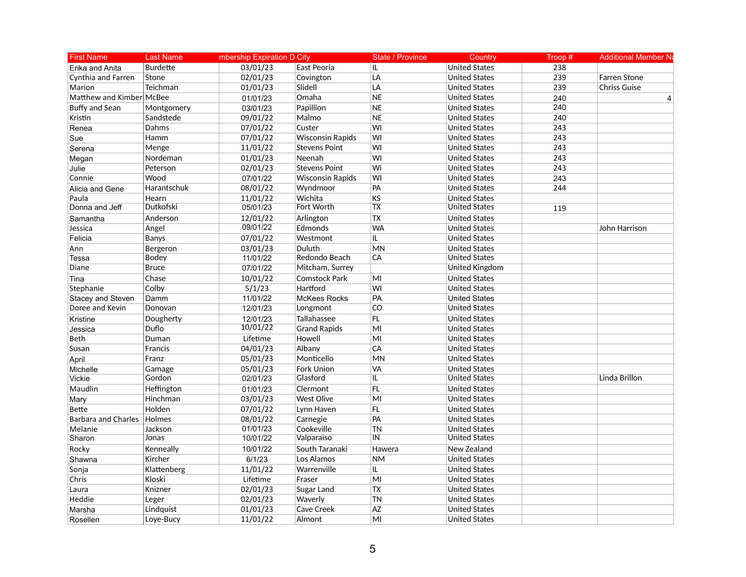| <b>First Name</b>          | <b>Last Name</b> | mbership Expiration D City |                         | <b>State / Province</b>  | Country               | Troop# | <b>Additional Member Na</b> |  |
|----------------------------|------------------|----------------------------|-------------------------|--------------------------|-----------------------|--------|-----------------------------|--|
| Erika and Anita            | <b>Burdette</b>  | 03/01/23                   | East Peoria             | IL.                      | <b>United States</b>  | 238    |                             |  |
| Cynthia and Farren         | Stone            | 02/01/23                   | Covington               | LA                       | <b>United States</b>  | 239    | Farren Stone                |  |
| Marion                     | Teichman         | 01/01/23                   | Slidell                 | LA                       | <b>United States</b>  | 239    | <b>Chriss Guise</b>         |  |
| Matthew and Kimber McBee   |                  | 01/01/23                   | Omaha                   | <b>NE</b>                | <b>United States</b>  | 240    | 4                           |  |
| <b>Buffy and Sean</b>      | Montgomery       | 03/01/23                   | Papillion               | <b>NE</b>                | <b>United States</b>  | 240    |                             |  |
| Kristin                    | Sandstede        | 09/01/22                   | Malmo                   | <b>NE</b>                | <b>United States</b>  | 240    |                             |  |
| Renea                      | Dahms            | 07/01/22                   | Custer                  | WI                       | <b>United States</b>  | 243    |                             |  |
| Sue                        | Hamm             | 07/01/22                   | <b>Wisconsin Rapids</b> | WI                       | <b>United States</b>  | 243    |                             |  |
| Serena                     | Menge            | 11/01/22                   | <b>Stevens Point</b>    | WI                       | <b>United States</b>  | 243    |                             |  |
| Megan                      | Nordeman         | 01/01/23                   | Neenah                  | WI                       | <b>United States</b>  | 243    |                             |  |
| Julie                      | Peterson         | 02/01/23                   | <b>Stevens Point</b>    | Wi                       | <b>United States</b>  | 243    |                             |  |
| Connie                     | Wood             | 07/01/22                   | <b>Wisconsin Rapids</b> | WI                       | <b>United States</b>  | 243    |                             |  |
| Alicia and Gene            | Harantschuk      | 08/01/22                   | Wyndmoor                | PA                       | <b>United States</b>  | 244    |                             |  |
| Paula                      | Hearn            | 11/01/22                   | Wichita                 | <b>KS</b>                | <b>United States</b>  |        |                             |  |
| Donna and Jeff             | Dutkofski        | 05/01/23                   | <b>Fort Worth</b>       | $\overline{\mathsf{TX}}$ | <b>United States</b>  | 119    |                             |  |
| Samantha                   | Anderson         | 12/01/22                   | Arlington               | <b>TX</b>                | <b>United States</b>  |        |                             |  |
| Jessica                    | Angel            | 09/01/22                   | Edmonds                 | <b>WA</b>                | <b>United States</b>  |        | John Harrison               |  |
| Felicia                    | Banys            | 07/01/22                   | Westmont                | IL.                      | <b>United States</b>  |        |                             |  |
| Ann                        | Bergeron         | 03/01/23                   | Duluth                  | <b>MN</b>                | <b>United States</b>  |        |                             |  |
| Tessa                      | Bodey            | 11/01/22                   | Redondo Beach           | CA                       | <b>United States</b>  |        |                             |  |
| Diane                      | <b>Bruce</b>     | 07/01/22                   | Mitcham, Surrey         |                          | <b>United Kingdom</b> |        |                             |  |
| Tina                       | Chase            | 10/01/22                   | <b>Comstock Park</b>    | MI                       | <b>United States</b>  |        |                             |  |
| Stephanie                  | Colby            | 5/1/23                     | Hartford                | WI                       | <b>United States</b>  |        |                             |  |
| Stacey and Steven          | Damm             | 11/01/22                   | <b>McKees Rocks</b>     | PA                       | <b>United States</b>  |        |                             |  |
| Doree and Kevin            | Donovan          | 12/01/23                   | Longmont                | CO                       | <b>United States</b>  |        |                             |  |
| Kristine                   | Dougherty        | 12/01/23                   | Tallahassee             | FL                       | <b>United States</b>  |        |                             |  |
| Jessica                    | Duflo            | 10/01/22                   | <b>Grand Rapids</b>     | MI                       | <b>United States</b>  |        |                             |  |
| <b>Beth</b>                | Duman            | Lifetime                   | Howell                  | MI                       | <b>United States</b>  |        |                             |  |
| Susan                      | Francis          | 04/01/23                   | Albany                  | CA                       | <b>United States</b>  |        |                             |  |
| April                      | Franz            | 05/01/23                   | Monticello              | MN                       | United States         |        |                             |  |
| Michelle                   | Gamage           | 05/01/23                   | <b>Fork Union</b>       | VA                       | <b>United States</b>  |        |                             |  |
| <b>Vickie</b>              | Gordon           | 02/01/23                   | Glasford                | IL.                      | <b>United States</b>  |        | Linda Brillon               |  |
| Maudlin                    | Heffington       | 01/01/23                   | Clermont                | FL                       | <b>United States</b>  |        |                             |  |
| Mary                       | Hinchman         | 03/01/23                   | <b>West Olive</b>       | MI                       | <b>United States</b>  |        |                             |  |
| <b>Bette</b>               | Holden           | 07/01/22                   | Lynn Haven              | FL                       | <b>United States</b>  |        |                             |  |
| <b>Barbara and Charles</b> | Holmes           | 08/01/22                   | Carnegie                | PA                       | <b>United States</b>  |        |                             |  |
| Melanie                    | Jackson          | 01/01/23                   | Cookeville              | <b>TN</b>                | United States         |        |                             |  |
| Sharon                     | Jonas            | 10/01/22                   | Valparaiso              | $\overline{I}$           | <b>United States</b>  |        |                             |  |
| Rocky                      | Kenneally        | 10/01/22                   | South Taranaki          | Hawera                   | New Zealand           |        |                             |  |
| Shawna                     | Kircher          | 6/1/23                     | Los Alamos              | <b>NM</b>                | <b>United States</b>  |        |                             |  |
| Sonja                      | Klattenberg      | 11/01/22                   | Warrenville             | IL.                      | <b>United States</b>  |        |                             |  |
| Chris                      | Kloski           | Lifetime                   | Fraser                  | MI                       | <b>United States</b>  |        |                             |  |
| Laura                      | Knizner          | 02/01/23                   | Sugar Land              | ${\sf TX}$               | <b>United States</b>  |        |                             |  |
| Heddie                     | Leger            | 02/01/23                   | Waverly                 | <b>TN</b>                | <b>United States</b>  |        |                             |  |
| Marsha                     | Lindquist        | 01/01/23                   | Cave Creek              | <b>AZ</b>                | <b>United States</b>  |        |                             |  |
| Rosellen                   | Loye-Bucy        | 11/01/22                   | Almont                  | MI                       | <b>United States</b>  |        |                             |  |